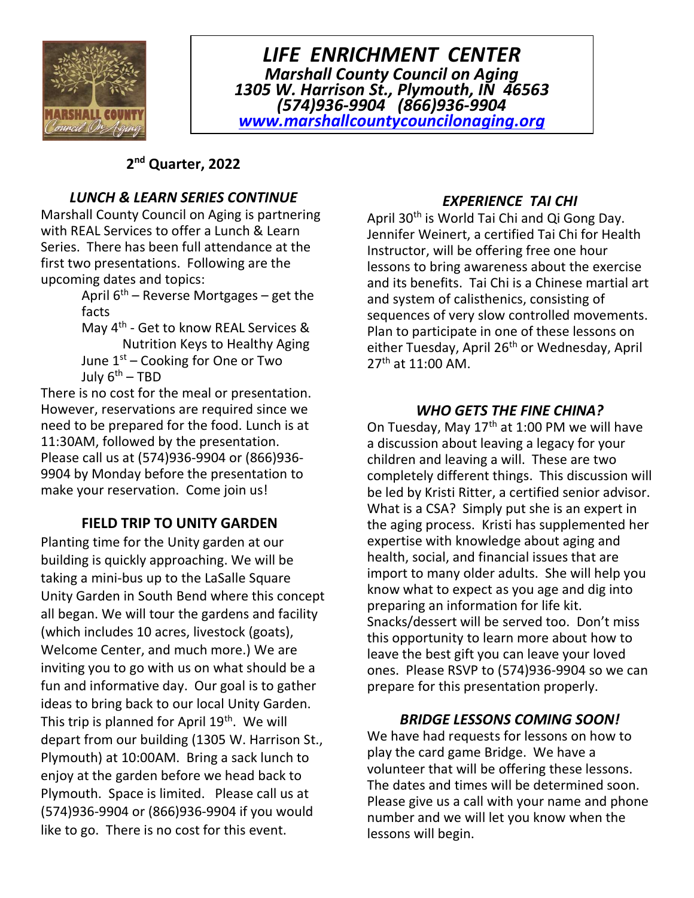

LIFE ENRICHMENT CENTER Marshall County Council on Aging 1305 W. Harrison St., Plymouth, IN 46563 (574)936-9904 (866)936-9904 www.marshallcountycouncilonaging.org

## 2<sup>nd</sup> Quarter, 2022

## LUNCH & LEARN SERIES CONTINUE

Marshall County Council on Aging is partnering with REAL Services to offer a Lunch & Learn Series. There has been full attendance at the first two presentations. Following are the upcoming dates and topics:

April  $6<sup>th</sup>$  – Reverse Mortgages – get the facts

May 4<sup>th</sup> - Get to know REAL Services & Nutrition Keys to Healthy Aging June  $1<sup>st</sup>$  – Cooking for One or Two July  $6^{th}$  – TBD

There is no cost for the meal or presentation. However, reservations are required since we need to be prepared for the food. Lunch is at 11:30AM, followed by the presentation. Please call us at (574)936-9904 or (866)936- 9904 by Monday before the presentation to make your reservation. Come join us!

### FIELD TRIP TO UNITY GARDEN

Planting time for the Unity garden at our building is quickly approaching. We will be taking a mini-bus up to the LaSalle Square Unity Garden in South Bend where this concept all began. We will tour the gardens and facility (which includes 10 acres, livestock (goats), Welcome Center, and much more.) We are inviting you to go with us on what should be a fun and informative day. Our goal is to gather ideas to bring back to our local Unity Garden. This trip is planned for April 19<sup>th</sup>. We will depart from our building (1305 W. Harrison St., Plymouth) at 10:00AM. Bring a sack lunch to enjoy at the garden before we head back to Plymouth. Space is limited. Please call us at (574)936-9904 or (866)936-9904 if you would like to go. There is no cost for this event.

### EXPERIENCE TAI CHI

April 30<sup>th</sup> is World Tai Chi and Qi Gong Day. Jennifer Weinert, a certified Tai Chi for Health Instructor, will be offering free one hour lessons to bring awareness about the exercise and its benefits. Tai Chi is a Chinese martial art and system of calisthenics, consisting of sequences of very slow controlled movements. Plan to participate in one of these lessons on either Tuesday, April 26<sup>th</sup> or Wednesday, April 27th at 11:00 AM.

### WHO GETS THE FINE CHINA?

On Tuesday, May  $17<sup>th</sup>$  at 1:00 PM we will have a discussion about leaving a legacy for your children and leaving a will. These are two completely different things. This discussion will be led by Kristi Ritter, a certified senior advisor. What is a CSA? Simply put she is an expert in the aging process. Kristi has supplemented her expertise with knowledge about aging and health, social, and financial issues that are import to many older adults. She will help you know what to expect as you age and dig into preparing an information for life kit. Snacks/dessert will be served too. Don't miss this opportunity to learn more about how to leave the best gift you can leave your loved ones. Please RSVP to (574)936-9904 so we can prepare for this presentation properly.

### BRIDGE LESSONS COMING SOON!

We have had requests for lessons on how to play the card game Bridge. We have a volunteer that will be offering these lessons. The dates and times will be determined soon. Please give us a call with your name and phone number and we will let you know when the lessons will begin.